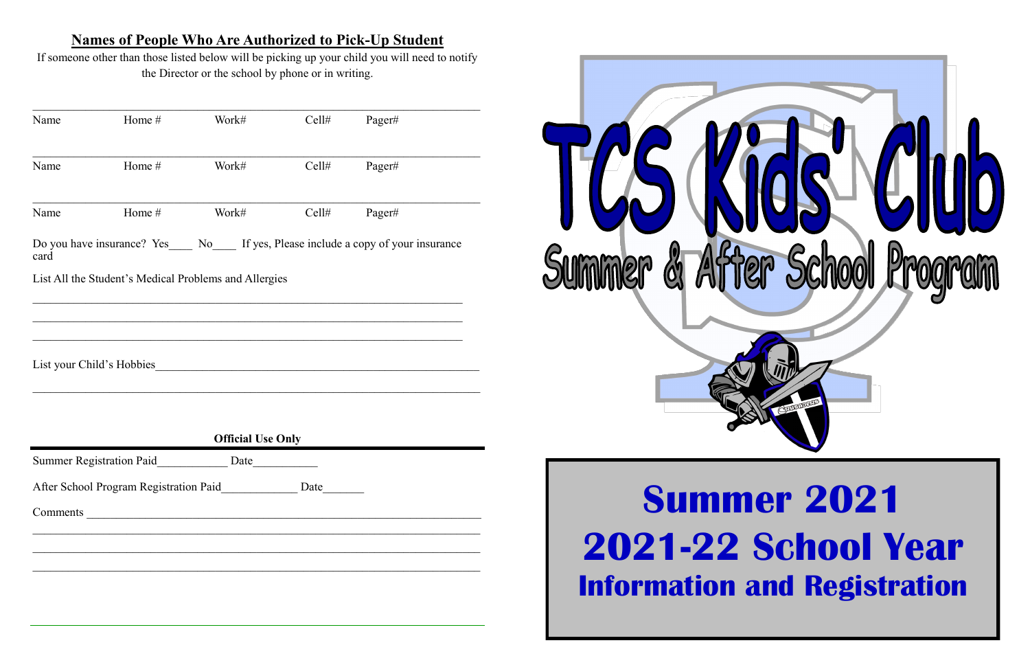### **Names of People Who Are Authorized to Pick-Up Student**

If someone other than those listed below will be picking up your child you will need to notify the Director or the school by phone or in writing.

| Name | Home #                                                           | Work#                    | Cell# | Pager#                                                                        |
|------|------------------------------------------------------------------|--------------------------|-------|-------------------------------------------------------------------------------|
| Name | Home #                                                           | Work#                    | Cell# | Pager#                                                                        |
| Name | Home #                                                           | Work#                    | Cell# | Pager#                                                                        |
| card |                                                                  |                          |       | Do you have insurance? Yes No If yes, Please include a copy of your insurance |
|      | List All the Student's Medical Problems and Allergies            |                          |       |                                                                               |
|      |                                                                  |                          |       |                                                                               |
|      |                                                                  |                          |       |                                                                               |
|      | List your Child's Hobbies                                        |                          |       |                                                                               |
|      |                                                                  |                          |       |                                                                               |
|      |                                                                  | <b>Official Use Only</b> |       |                                                                               |
|      | <b>Summer Registration Paid</b>                                  | Date                     |       |                                                                               |
|      | After School Program Registration Paid_____________ Date________ |                          |       |                                                                               |
|      |                                                                  |                          |       |                                                                               |
|      |                                                                  |                          |       |                                                                               |
|      |                                                                  |                          |       |                                                                               |
|      |                                                                  |                          |       |                                                                               |



### **Summer 2021 2021-22 School Year Information and Registration**